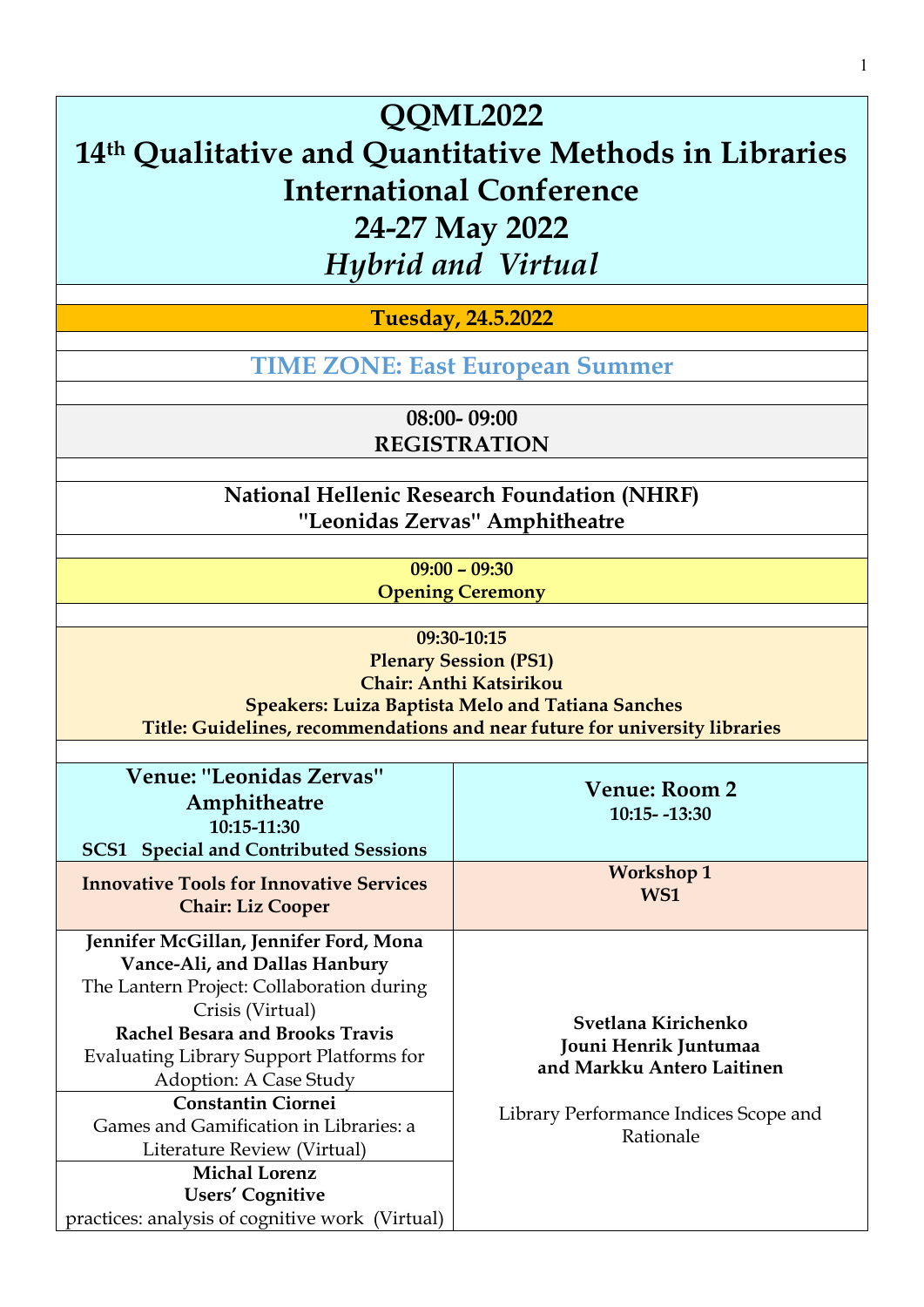**Tuesday, 24.5.2022**

**TIME ZONE: [East European Summer](https://www.timeanddate.com/time/zones/cest)**

**08:00- 09:00 REGISTRATION** 

**National Hellenic Research Foundation (NHRF) ''Leonidas Zervas'' Amphitheatre**

> **09:00 – 09:30 Opening Ceremony**

**09:30-10:15 Plenary Session (PS1) [Chair: Anthi Katsirikou](http://qqml.org/wp-content/uploads/2017/09/Veimann.pptx) [Speakers](http://qqml.org/wp-content/uploads/2017/09/Veimann.pptx): Luiza Baptista Melo and Tatiana Sanches [Title: Guidelines, recommendations and near future for university libraries](http://qqml.org/wp-content/uploads/2017/09/Veimann.pptx)**

| <b>Venue: "Leonidas Zervas"</b><br>Amphitheatre<br>10:15-11:30<br><b>SCS1</b> Special and Contributed Sessions | <b>Venue: Room 2</b><br>$10:15 - 13:30$             |
|----------------------------------------------------------------------------------------------------------------|-----------------------------------------------------|
| <b>Innovative Tools for Innovative Services</b><br><b>Chair: Liz Cooper</b>                                    | <b>Workshop 1</b><br>WS1                            |
| Jennifer McGillan, Jennifer Ford, Mona                                                                         |                                                     |
| Vance-Ali, and Dallas Hanbury                                                                                  |                                                     |
| The Lantern Project: Collaboration during                                                                      | Svetlana Kirichenko                                 |
| Crisis (Virtual)                                                                                               |                                                     |
| <b>Rachel Besara and Brooks Travis</b>                                                                         |                                                     |
| Evaluating Library Support Platforms for                                                                       | Jouni Henrik Juntumaa<br>and Markku Antero Laitinen |
| Adoption: A Case Study                                                                                         |                                                     |
| <b>Constantin Ciornei</b>                                                                                      | Library Performance Indices Scope and<br>Rationale  |
| Games and Gamification in Libraries: a                                                                         |                                                     |
| Literature Review (Virtual)                                                                                    |                                                     |
| <b>Michal Lorenz</b>                                                                                           |                                                     |
| Users' Cognitive                                                                                               |                                                     |
| practices: analysis of cognitive work (Virtual)                                                                |                                                     |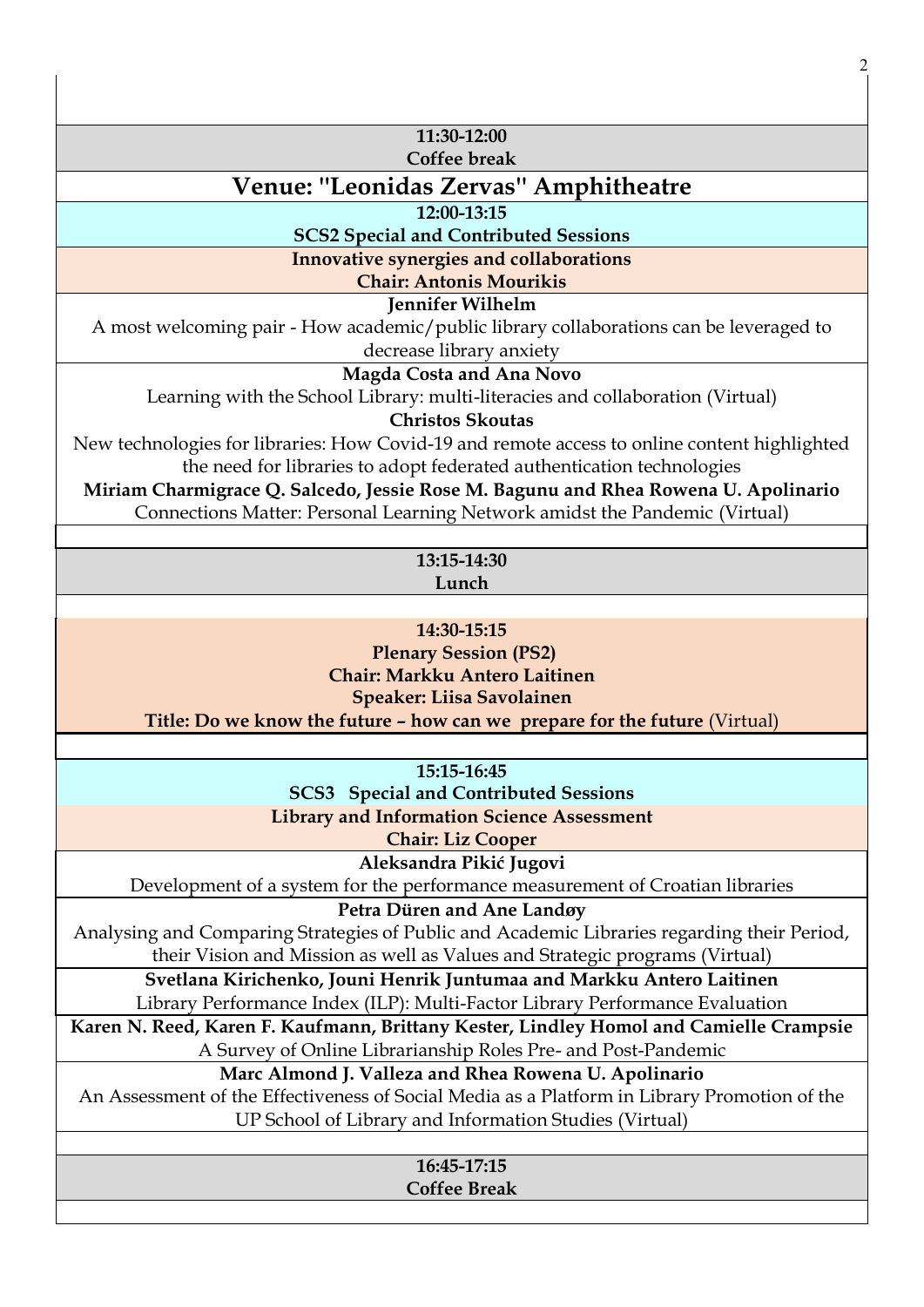| 11:30-12:00                                                                                                        |
|--------------------------------------------------------------------------------------------------------------------|
| <b>Coffee break</b>                                                                                                |
| Venue: "Leonidas Zervas" Amphitheatre                                                                              |
| 12:00-13:15                                                                                                        |
| <b>SCS2 Special and Contributed Sessions</b>                                                                       |
| Innovative synergies and collaborations                                                                            |
| <b>Chair: Antonis Mourikis</b>                                                                                     |
| <b>Jennifer Wilhelm</b>                                                                                            |
| A most welcoming pair - How academic/public library collaborations can be leveraged to<br>decrease library anxiety |
| Magda Costa and Ana Novo                                                                                           |
| Learning with the School Library: multi-literacies and collaboration (Virtual)                                     |
| <b>Christos Skoutas</b>                                                                                            |
| New technologies for libraries: How Covid-19 and remote access to online content highlighted                       |
| the need for libraries to adopt federated authentication technologies                                              |
| Miriam Charmigrace Q. Salcedo, Jessie Rose M. Bagunu and Rhea Rowena U. Apolinario                                 |
| Connections Matter: Personal Learning Network amidst the Pandemic (Virtual)                                        |
| 13:15-14:30                                                                                                        |
| Lunch                                                                                                              |
|                                                                                                                    |
| 14:30-15:15                                                                                                        |
| <b>Plenary Session (PS2)</b>                                                                                       |
| Chair: Markku Antero Laitinen                                                                                      |
| <b>Speaker: Liisa Savolainen</b>                                                                                   |
| Title: Do we know the future - how can we prepare for the future (Virtual)                                         |
|                                                                                                                    |
| 15:15-16:45                                                                                                        |
| <b>SCS3</b> Special and Contributed Sessions                                                                       |
| <b>Library and Information Science Assessment</b>                                                                  |
| <b>Chair: Liz Cooper</b>                                                                                           |
| Aleksandra Pikić Jugovi<br>Development of a system for the performance measurement of Croatian libraries           |
| Petra Düren and Ane Landøy                                                                                         |
| Analysing and Comparing Strategies of Public and Academic Libraries regarding their Period,                        |
| their Vision and Mission as well as Values and Strategic programs (Virtual)                                        |
| Svetlana Kirichenko, Jouni Henrik Juntumaa and Markku Antero Laitinen                                              |
| Library Performance Index (ILP): Multi-Factor Library Performance Evaluation                                       |
| Karen N. Reed, Karen F. Kaufmann, Brittany Kester, Lindley Homol and Camielle Crampsie                             |
| A Survey of Online Librarianship Roles Pre- and Post-Pandemic                                                      |
|                                                                                                                    |
| Marc Almond J. Valleza and Rhea Rowena U. Apolinario                                                               |
| An Assessment of the Effectiveness of Social Media as a Platform in Library Promotion of the                       |
| UP School of Library and Information Studies (Virtual)                                                             |

2

**16:45-17:15 Coffee Break**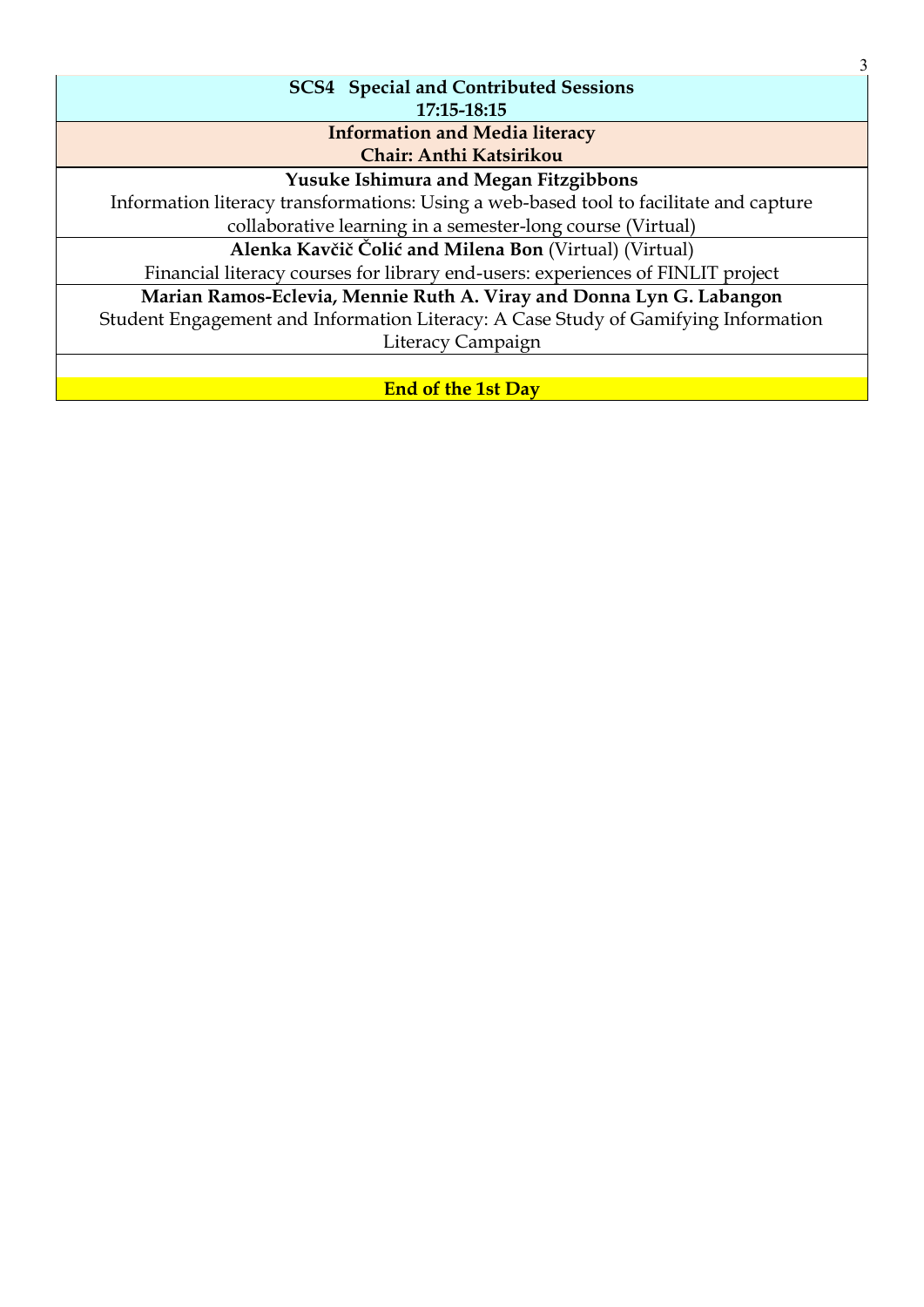| 3                                                                                      |  |
|----------------------------------------------------------------------------------------|--|
| <b>SCS4</b> Special and Contributed Sessions                                           |  |
| 17:15-18:15                                                                            |  |
| <b>Information and Media literacy</b>                                                  |  |
| Chair: Anthi Katsirikou                                                                |  |
| <b>Yusuke Ishimura and Megan Fitzgibbons</b>                                           |  |
| Information literacy transformations: Using a web-based tool to facilitate and capture |  |
| collaborative learning in a semester-long course (Virtual)                             |  |
| Alenka Kavčič Čolić and Milena Bon (Virtual) (Virtual)                                 |  |
| Financial literacy courses for library end-users: experiences of FINLIT project        |  |
| Marian Ramos-Eclevia, Mennie Ruth A. Viray and Donna Lyn G. Labangon                   |  |
| Student Engagement and Information Literacy: A Case Study of Gamifying Information     |  |
| Literacy Campaign                                                                      |  |
|                                                                                        |  |
| <b>End of the 1st Day</b>                                                              |  |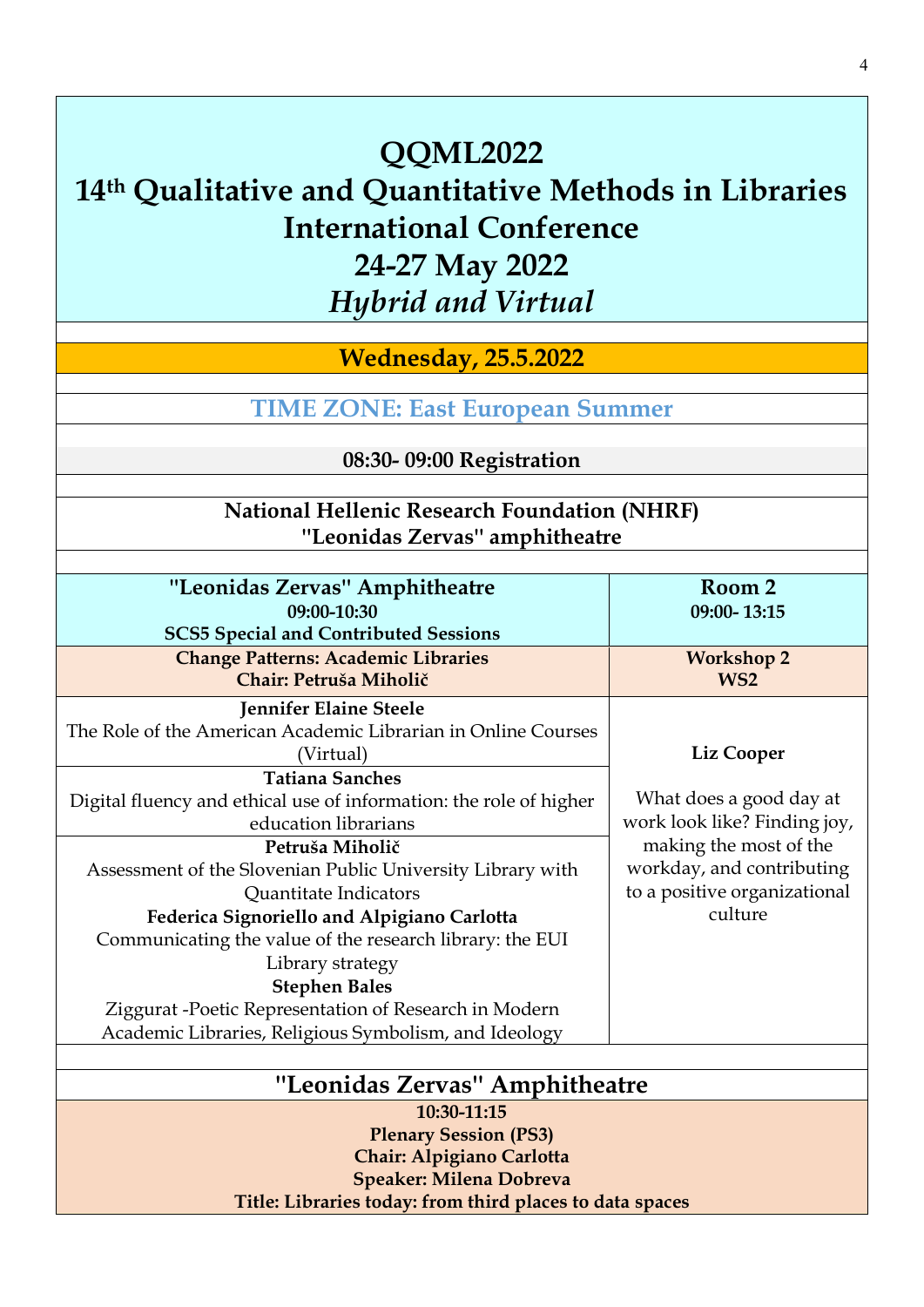**Wednesday, 25.5.2022**

**TIME ZONE: [East European Summer](https://www.timeanddate.com/time/zones/cest)**

**08:30- 09:00 Registration** 

# **National Hellenic Research Foundation (NHRF) ''Leonidas Zervas'' amphitheatre**

| "Leonidas Zervas" Amphitheatre                                     | Room 2                       |
|--------------------------------------------------------------------|------------------------------|
| 09:00-10:30                                                        | 09:00-13:15                  |
| <b>SCS5 Special and Contributed Sessions</b>                       |                              |
| <b>Change Patterns: Academic Libraries</b>                         | <b>Workshop 2</b>            |
| Chair: Petruša Miholič                                             | WS <sub>2</sub>              |
| Jennifer Elaine Steele                                             |                              |
| The Role of the American Academic Librarian in Online Courses      |                              |
| (Virtual)                                                          | Liz Cooper                   |
| <b>Tatiana Sanches</b>                                             |                              |
| Digital fluency and ethical use of information: the role of higher | What does a good day at      |
| education librarians                                               | work look like? Finding joy, |
| Petruša Miholič                                                    | making the most of the       |
| Assessment of the Slovenian Public University Library with         | workday, and contributing    |
| Quantitate Indicators                                              | to a positive organizational |
| Federica Signoriello and Alpigiano Carlotta                        | culture                      |
| Communicating the value of the research library: the EUI           |                              |
| Library strategy                                                   |                              |
| <b>Stephen Bales</b>                                               |                              |
| Ziggurat -Poetic Representation of Research in Modern              |                              |
| Academic Libraries, Religious Symbolism, and Ideology              |                              |
|                                                                    |                              |
| "Leonidas Zervas" Amphitheatre                                     |                              |
| 10:30-11:15                                                        |                              |
| <b>Plenary Session (PS3)</b>                                       |                              |
|                                                                    |                              |

**Chair: Alpigiano Carlotta Speaker: Milena Dobreva Title: Libraries today: from third places to data spaces**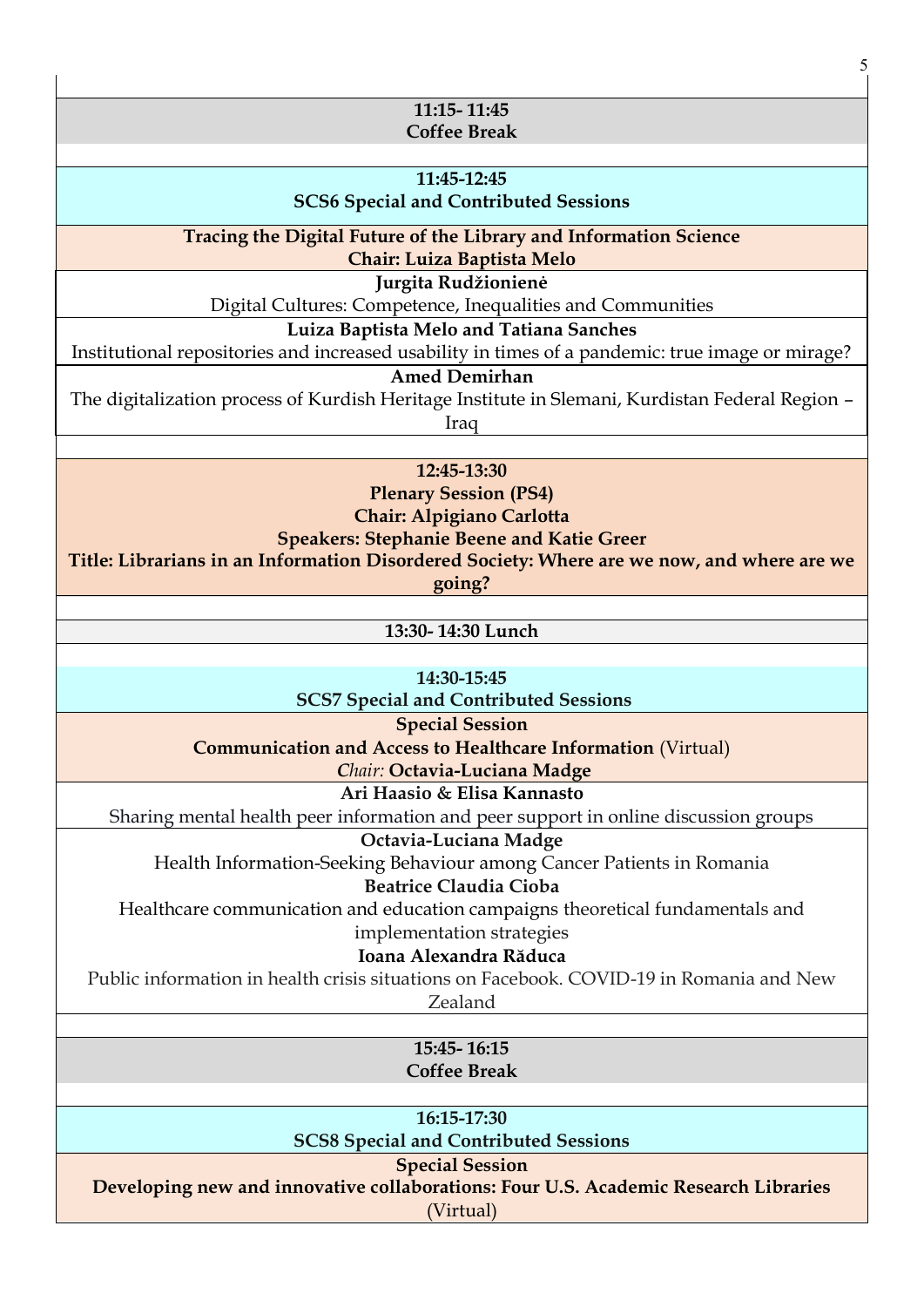| 5                                                                                                             |  |
|---------------------------------------------------------------------------------------------------------------|--|
|                                                                                                               |  |
| 11:15-11:45                                                                                                   |  |
| <b>Coffee Break</b>                                                                                           |  |
| 11:45-12:45                                                                                                   |  |
| <b>SCS6 Special and Contributed Sessions</b>                                                                  |  |
|                                                                                                               |  |
| Tracing the Digital Future of the Library and Information Science<br>Chair: Luiza Baptista Melo               |  |
| Jurgita Rudžionienė                                                                                           |  |
| Digital Cultures: Competence, Inequalities and Communities                                                    |  |
| Luiza Baptista Melo and Tatiana Sanches                                                                       |  |
| Institutional repositories and increased usability in times of a pandemic: true image or mirage?              |  |
| <b>Amed Demirhan</b>                                                                                          |  |
| The digitalization process of Kurdish Heritage Institute in Slemani, Kurdistan Federal Region -               |  |
| Iraq                                                                                                          |  |
|                                                                                                               |  |
| 12:45-13:30                                                                                                   |  |
| <b>Plenary Session (PS4)</b><br>Chair: Alpigiano Carlotta                                                     |  |
| <b>Speakers: Stephanie Beene and Katie Greer</b>                                                              |  |
| Title: Librarians in an Information Disordered Society: Where are we now, and where are we                    |  |
| going?                                                                                                        |  |
|                                                                                                               |  |
| 13:30-14:30 Lunch                                                                                             |  |
|                                                                                                               |  |
| 14:30-15:45                                                                                                   |  |
| <b>SCS7 Special and Contributed Sessions</b><br><b>Special Session</b>                                        |  |
| <b>Communication and Access to Healthcare Information (Virtual)</b>                                           |  |
| Chair: Octavia-Luciana Madge                                                                                  |  |
| Ari Haasio & Elisa Kannasto                                                                                   |  |
| Sharing mental health peer information and peer support in online discussion groups                           |  |
| Octavia-Luciana Madge                                                                                         |  |
| Health Information-Seeking Behaviour among Cancer Patients in Romania                                         |  |
| <b>Beatrice Claudia Cioba</b>                                                                                 |  |
| Healthcare communication and education campaigns theoretical fundamentals and                                 |  |
| implementation strategies<br>Ioana Alexandra Răduca                                                           |  |
| Public information in health crisis situations on Facebook. COVID-19 in Romania and New                       |  |
| Zealand                                                                                                       |  |
|                                                                                                               |  |
| 15:45-16:15                                                                                                   |  |
| <b>Coffee Break</b>                                                                                           |  |
|                                                                                                               |  |
| 16:15-17:30                                                                                                   |  |
| <b>SCS8 Special and Contributed Sessions</b>                                                                  |  |
| <b>Special Session</b><br>Developing new and innovative collaborations: Four U.S. Academic Research Libraries |  |
| (Virtual)                                                                                                     |  |
|                                                                                                               |  |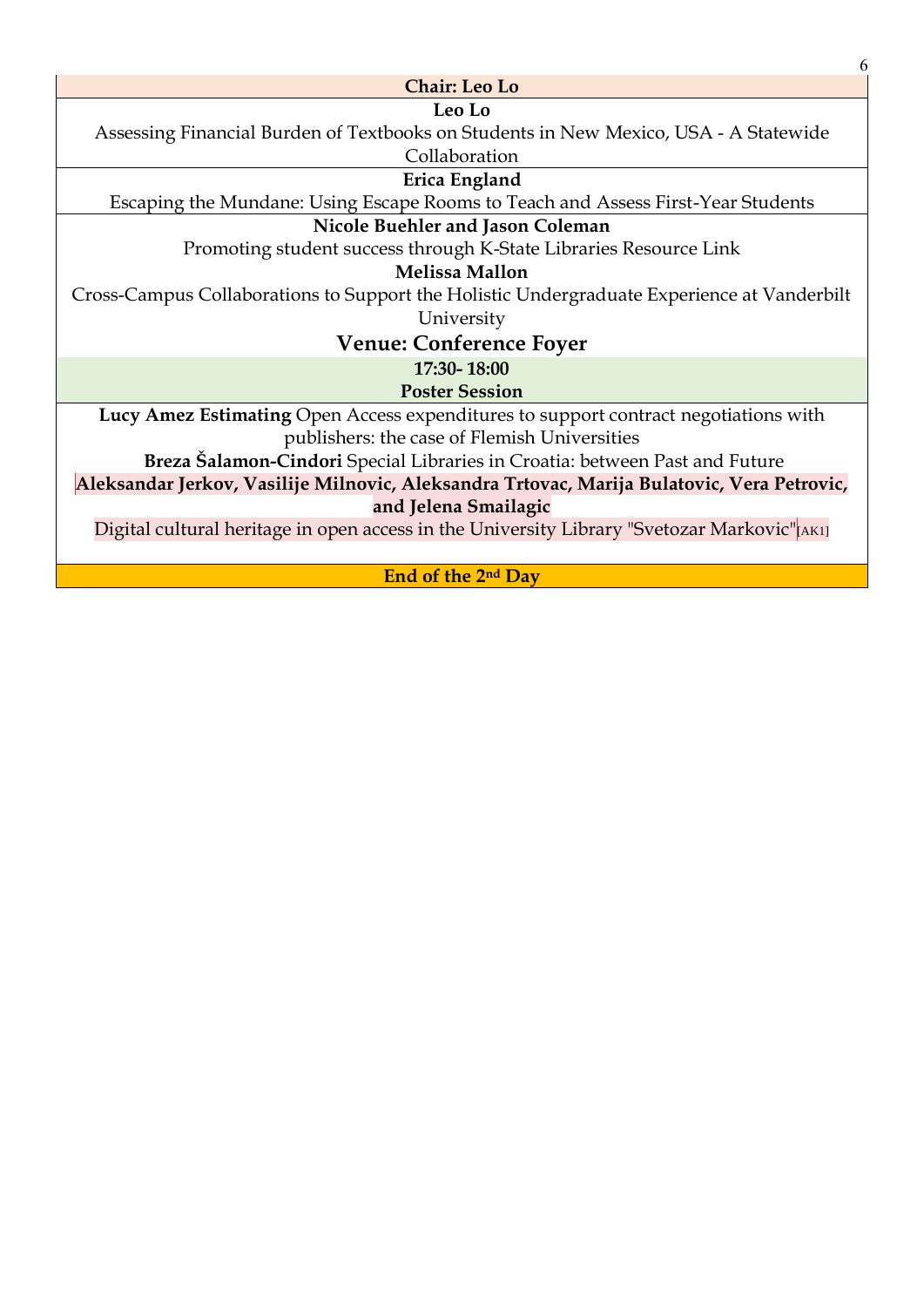| 6                                                                                           |  |
|---------------------------------------------------------------------------------------------|--|
| <b>Chair: Leo Lo</b>                                                                        |  |
| Leo Lo                                                                                      |  |
| Assessing Financial Burden of Textbooks on Students in New Mexico, USA - A Statewide        |  |
| Collaboration                                                                               |  |
| Erica England                                                                               |  |
| Escaping the Mundane: Using Escape Rooms to Teach and Assess First-Year Students            |  |
| Nicole Buehler and Jason Coleman                                                            |  |
| Promoting student success through K-State Libraries Resource Link                           |  |
| <b>Melissa Mallon</b>                                                                       |  |
| Cross-Campus Collaborations to Support the Holistic Undergraduate Experience at Vanderbilt  |  |
| University                                                                                  |  |
| <b>Venue: Conference Foyer</b>                                                              |  |
| 17:30-18:00                                                                                 |  |
| <b>Poster Session</b>                                                                       |  |
| Lucy Amez Estimating Open Access expenditures to support contract negotiations with         |  |
| publishers: the case of Flemish Universities                                                |  |
| Breza Šalamon-Cindori Special Libraries in Croatia: between Past and Future                 |  |
| Aleksandar Jerkov, Vasilije Milnovic, Aleksandra Trtovac, Marija Bulatovic, Vera Petrovic,  |  |
| and Jelena Smailagic                                                                        |  |
| Digital cultural heritage in open access in the University Library "Svetozar Markovic"[AKI] |  |
|                                                                                             |  |
| End of the 2 <sup>nd</sup> Day                                                              |  |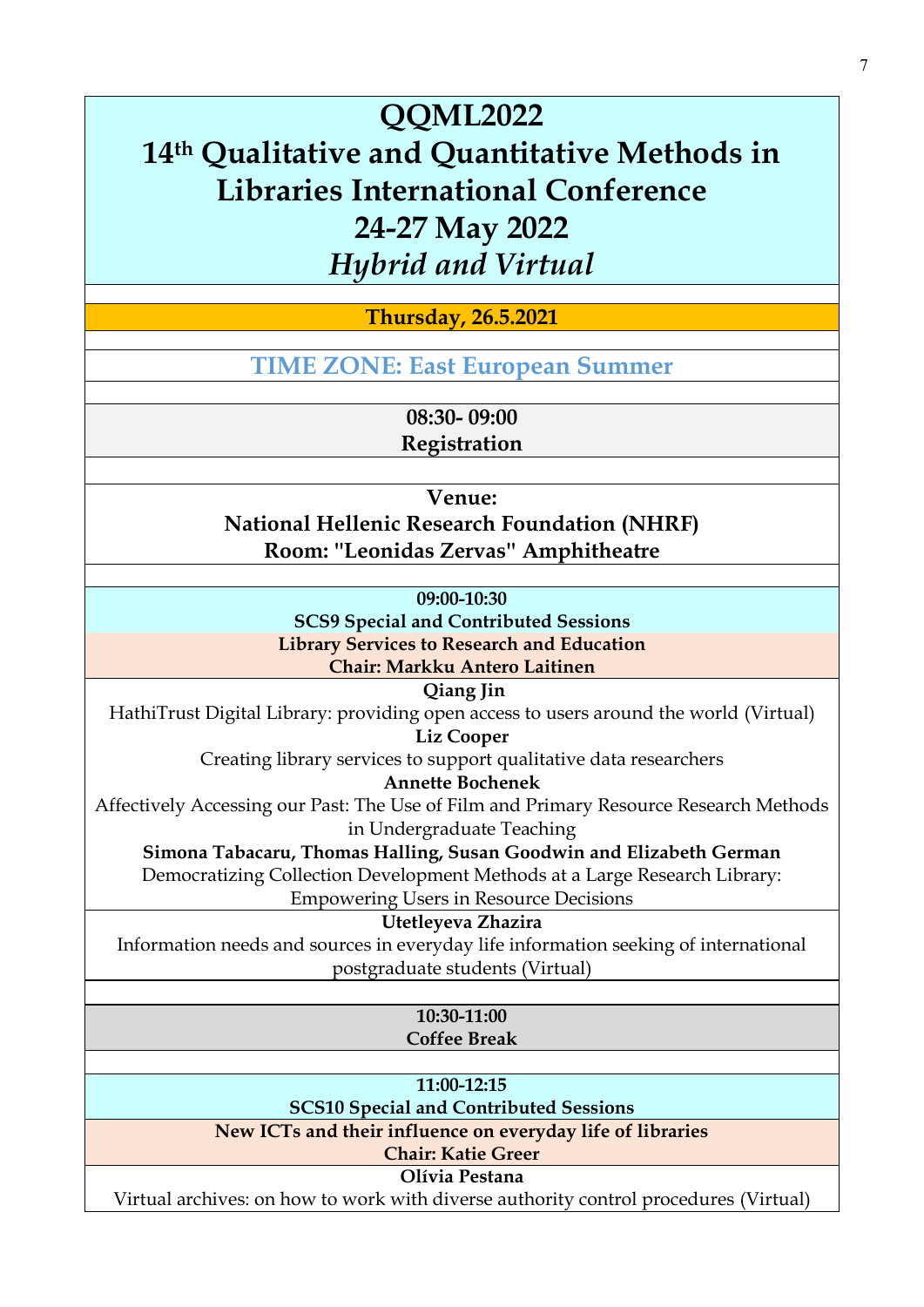**Thursday, 26.5.2021**

**TIME ZONE: [East European Summer](https://www.timeanddate.com/time/zones/cest)**

**08:30- 09:00** 

**Registration** 

**Venue:** 

**National Hellenic Research Foundation (NHRF) Room: ''Leonidas Zervas'' Amphitheatre**

**09:00-10:30**

**SCS9 Special and Contributed Sessions**

**Library Services to Research and Education**

**Chair: Markku Antero Laitinen**

**Qiang Jin** 

HathiTrust Digital Library: providing open access to users around the world (Virtual)

**Liz Cooper** 

Creating library services to support qualitative data researchers

**Annette Bochenek** 

Affectively Accessing our Past: The Use of Film and Primary Resource Research Methods in Undergraduate Teaching

**Simona Tabacaru, Thomas Halling, Susan Goodwin and Elizabeth German**  Democratizing Collection Development Methods at a Large Research Library:

Empowering Users in Resource Decisions

**Utetleyeva Zhazira** 

Information needs and sources in everyday life information seeking of international postgraduate students (Virtual)

> **10:30-11:00 Coffee Break**

**11:00-12:15**

**SCS10 Special and Contributed Sessions**

**New ICTs and their influence on everyday life of libraries Chair: Katie Greer**

**Olívia Pestana** 

Virtual archives: on how to work with diverse authority control procedures (Virtual)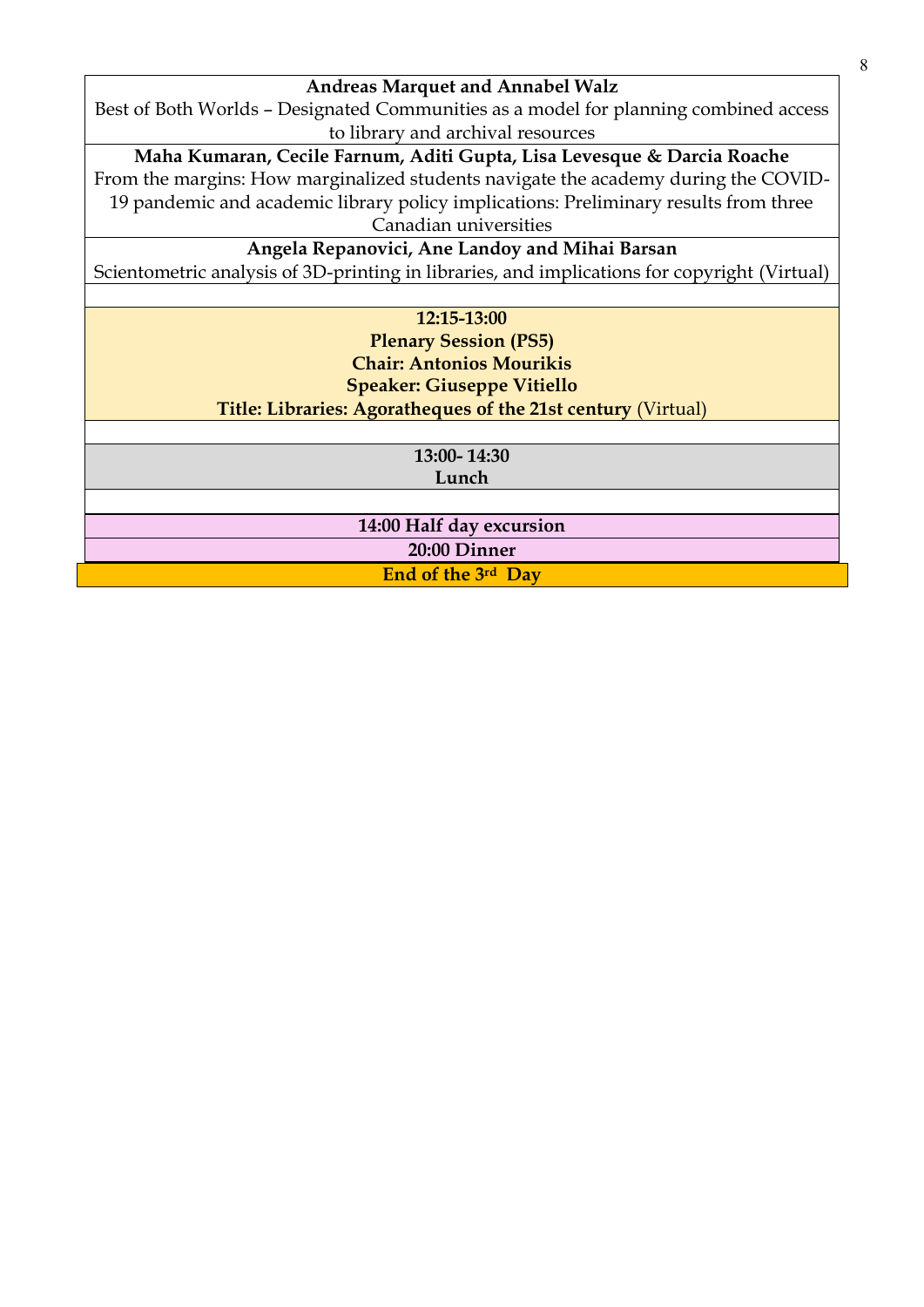#### **Andreas Marquet and Annabel Walz**

Best of Both Worlds – Designated Communities as a model for planning combined access to library and archival resources

**Maha Kumaran, Cecile Farnum, Aditi Gupta, Lisa Levesque & Darcia Roache** 

From the margins: How marginalized students navigate the academy during the COVID-19 pandemic and academic library policy implications: Preliminary results from three Canadian universities

**Angela Repanovici, Ane Landoy and Mihai Barsan** 

Scientometric analysis of 3D-printing in libraries, and implications for copyright (Virtual)

**12:15-13:00**

**Plenary Session (PS5) [Chair: Antonios Mourikis](http://qqml.org/wp-content/uploads/2017/09/Veimann.pptx) [Speaker:](http://qqml.org/wp-content/uploads/2017/09/Veimann.pptx) Giuseppe Vitiello Title: Libraries: Agoratheques of the 21st century** (Virtual)

> **13:00- 14:30 Lunch**

**14:00 Half day excursion 20:00 Dinner**

**End of the 3rd Day**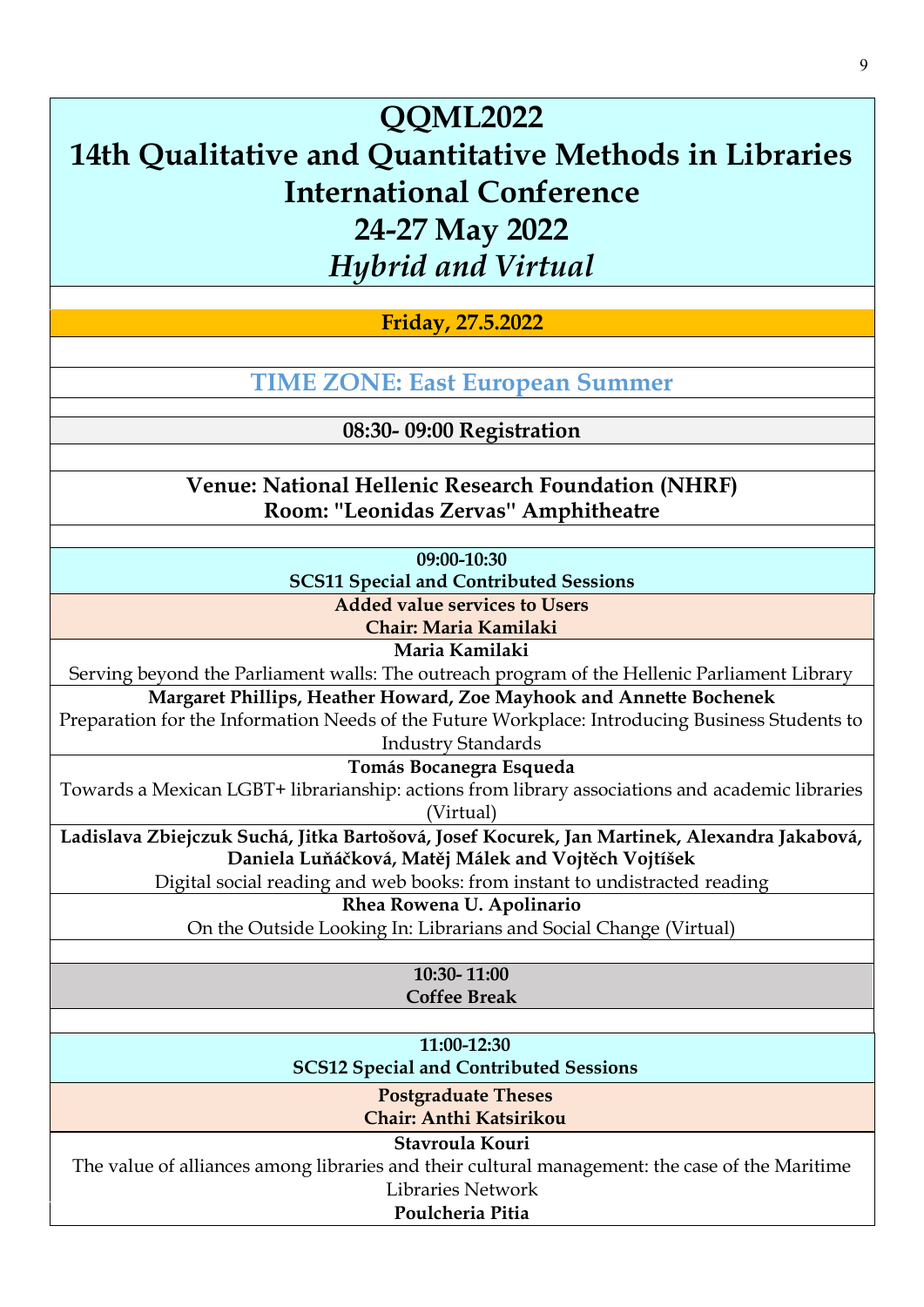**Friday, 27.5.2022**

**TIME ZONE: [East European Summer](https://www.timeanddate.com/time/zones/cest)**

**08:30- 09:00 Registration** 

**Venue: National Hellenic Research Foundation (NHRF) Room: ''Leonidas Zervas'' Amphitheatre**

**09:00-10:30**

**SCS11 Special and Contributed Sessions**

**Added value services to Users**

**Chair: Maria Kamilaki**

**Maria Kamilaki** 

Serving beyond the Parliament walls: The outreach program of the Hellenic Parliament Library

**Margaret Phillips, Heather Howard, Zoe Mayhook and Annette Bochenek** 

Preparation for the Information Needs of the Future Workplace: Introducing Business Students to Industry Standards

**Tomás Bocanegra Esqueda** 

Towards a Mexican LGBT+ librarianship: actions from library associations and academic libraries (Virtual)

**Ladislava Zbiejczuk Suchá, Jitka Bartošová, Josef Kocurek, Jan Martinek, Alexandra Jakabová, Daniela Luňáčková, Matěj Málek and Vojtěch Vojtíšek** 

Digital social reading and web books: from instant to undistracted reading

**Rhea Rowena U. Apolinario** 

On the Outside Looking In: Librarians and Social Change (Virtual)

**10:30- 11:00 Coffee Break**

**11:00-12:30**

**SCS12 Special and Contributed Sessions**

**Postgraduate Theses Chair: Anthi Katsirikou**

**Stavroula Kouri** 

The value of alliances among libraries and their cultural management: the case of the Maritime Libraries Network

# **Poulcheria Pitia**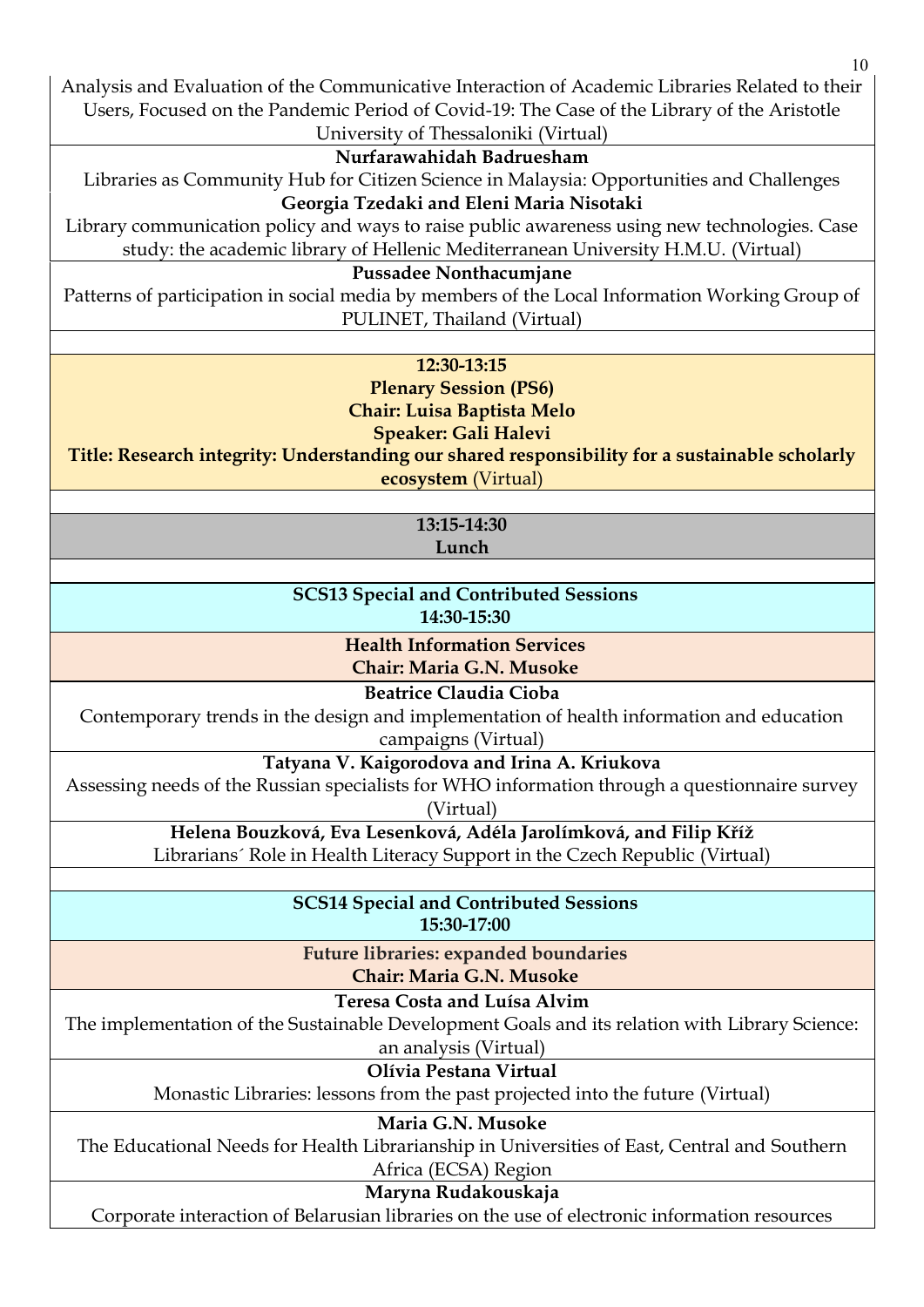Analysis and Evaluation of the Communicative Interaction of Academic Libraries Related to their Users, Focused on the Pandemic Period of Covid-19: The Case of the Library of the Aristotle

#### University of Thessaloniki (Virtual) **Nurfarawahidah Badruesham**

Libraries as Community Hub for Citizen Science in Malaysia: Opportunities and Challenges

### **Georgia Tzedaki and Eleni Maria Nisotaki**

Library communication policy and ways to raise public awareness using new technologies. Case study: the academic library of Hellenic Mediterranean University H.M.U. (Virtual)

### **Pussadee Nonthacumjane**

Patterns of participation in social media by members of the Local Information Working Group of PULINET, Thailand (Virtual)

### **12:30-13:15**

**Plenary Session (PS6) [Chair: Luisa Baptista](http://qqml.org/wp-content/uploads/2017/09/Veimann.pptx) Melo [Speaker:](http://qqml.org/wp-content/uploads/2017/09/Veimann.pptx) Gali Halevi** 

**Title: Research integrity: Understanding our shared responsibility for a sustainable scholarly ecosystem** (Virtual)

> **13:15-14:30 Lunch**

## **SCS13 Special and Contributed Sessions 14:30-15:30**

**Health Information Services Chair: Maria G.N. Musoke** 

**Beatrice Claudia Cioba** 

Contemporary trends in the design and implementation of health information and education

campaigns (Virtual)

**Tatyana V. Kaigorodova and Irina A. Kriukova** 

Assessing needs of the Russian specialists for WHO information through a questionnaire survey (Virtual)

**Helena Bouzková, Eva Lesenková, Adéla Jarolímková, and Filip Kříž** 

Librarians´ Role in Health Literacy Support in the Czech Republic (Virtual)

**SCS14 Special and Contributed Sessions 15:30-17:00**

**Future libraries: expanded boundaries Chair: Maria G.N. Musoke** 

**Teresa Costa and Luísa Alvim** 

The implementation of the Sustainable Development Goals and its relation with Library Science:

an analysis (Virtual)

**Olívia Pestana Virtual** 

Monastic Libraries: lessons from the past projected into the future (Virtual)

**Maria G.N. Musoke** 

The Educational Needs for Health Librarianship in Universities of East, Central and Southern Africa (ECSA) Region

**Maryna Rudakouskaja**

Corporate interaction of Belarusian libraries on the use of electronic information resources